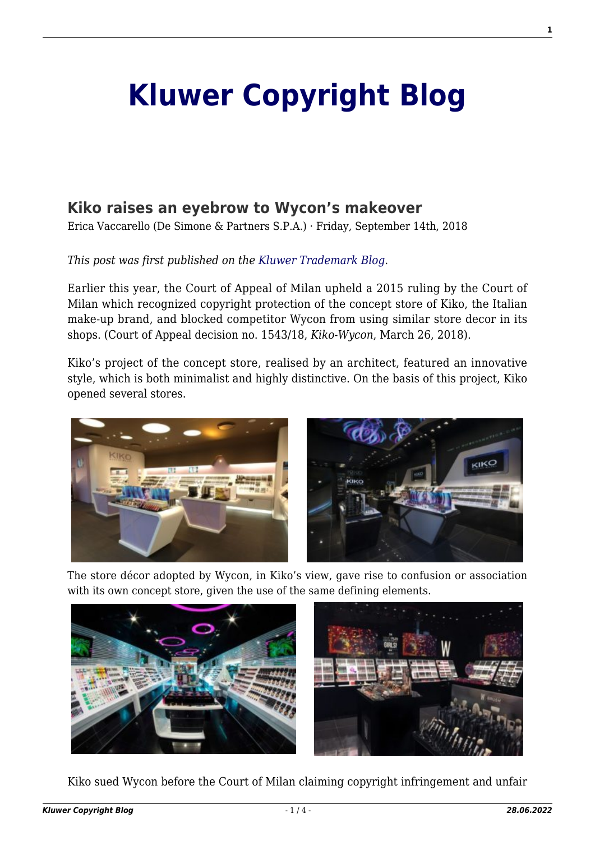# **[Kluwer Copyright Blog](http://copyrightblog.kluweriplaw.com/)**

# **[Kiko raises an eyebrow to Wycon's makeover](http://copyrightblog.kluweriplaw.com/2018/09/14/kiko-raises-eyebrow-wycons-makeover/)**

Erica Vaccarello (De Simone & Partners S.P.A.) · Friday, September 14th, 2018

#### *This post was first published on the [Kluwer Trademark Blog](http://trademarkblog.kluweriplaw.com/).*

Earlier this year, the Court of Appeal of Milan upheld a 2015 ruling by the Court of Milan which recognized copyright protection of the concept store of Kiko, the Italian make-up brand, and blocked competitor Wycon from using similar store decor in its shops. (Court of Appeal decision no. 1543/18, *Kiko-Wycon*, March 26, 2018).

Kiko's project of the concept store, realised by an architect, featured an innovative style, which is both minimalist and highly distinctive. On the basis of this project, Kiko opened several stores.



The store décor adopted by Wycon, in Kiko's view, gave rise to confusion or association with its own concept store, given the use of the same defining elements.



Kiko sued Wycon before the Court of Milan claiming copyright infringement and unfair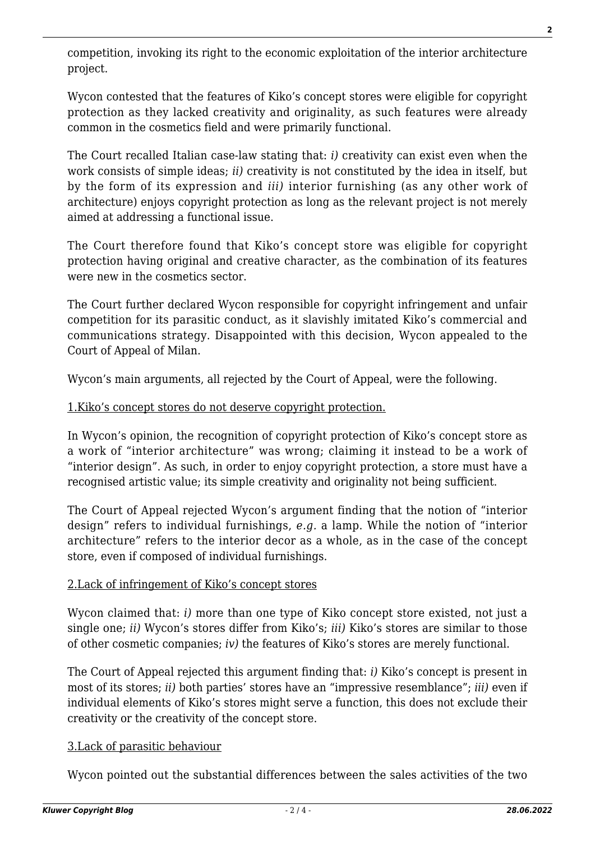competition, invoking its right to the economic exploitation of the interior architecture project.

Wycon contested that the features of Kiko's concept stores were eligible for copyright protection as they lacked creativity and originality, as such features were already common in the cosmetics field and were primarily functional.

The Court recalled Italian case-law stating that: *i)* creativity can exist even when the work consists of simple ideas; *ii)* creativity is not constituted by the idea in itself, but by the form of its expression and *iii)* interior furnishing (as any other work of architecture) enjoys copyright protection as long as the relevant project is not merely aimed at addressing a functional issue.

The Court therefore found that Kiko's concept store was eligible for copyright protection having original and creative character, as the combination of its features were new in the cosmetics sector.

The Court further declared Wycon responsible for copyright infringement and unfair competition for its parasitic conduct, as it slavishly imitated Kiko's commercial and communications strategy. Disappointed with this decision, Wycon appealed to the Court of Appeal of Milan.

Wycon's main arguments, all rejected by the Court of Appeal, were the following.

### 1.Kiko's concept stores do not deserve copyright protection.

In Wycon's opinion, the recognition of copyright protection of Kiko's concept store as a work of "interior architecture" was wrong; claiming it instead to be a work of "interior design". As such, in order to enjoy copyright protection, a store must have a recognised artistic value; its simple creativity and originality not being sufficient.

The Court of Appeal rejected Wycon's argument finding that the notion of "interior design" refers to individual furnishings, *e.g.* a lamp. While the notion of "interior architecture" refers to the interior decor as a whole, as in the case of the concept store, even if composed of individual furnishings.

#### 2.Lack of infringement of Kiko's concept stores

Wycon claimed that: *i)* more than one type of Kiko concept store existed, not just a single one; *ii)* Wycon's stores differ from Kiko's; *iii)* Kiko's stores are similar to those of other cosmetic companies; *iv)* the features of Kiko's stores are merely functional.

The Court of Appeal rejected this argument finding that: *i)* Kiko's concept is present in most of its stores; *ii)* both parties' stores have an "impressive resemblance"; *iii)* even if individual elements of Kiko's stores might serve a function, this does not exclude their creativity or the creativity of the concept store.

## 3.Lack of parasitic behaviour

Wycon pointed out the substantial differences between the sales activities of the two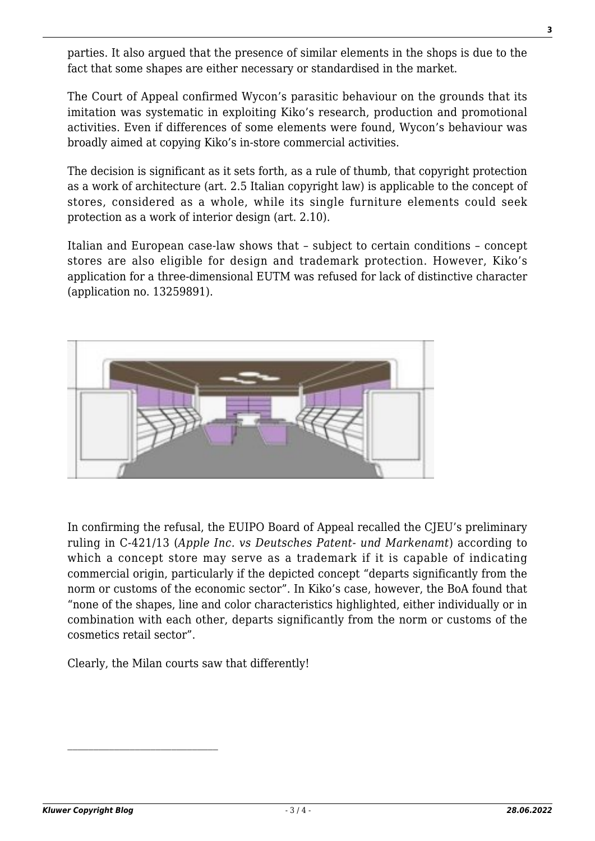parties. It also argued that the presence of similar elements in the shops is due to the fact that some shapes are either necessary or standardised in the market.

The Court of Appeal confirmed Wycon's parasitic behaviour on the grounds that its imitation was systematic in exploiting Kiko's research, production and promotional activities. Even if differences of some elements were found, Wycon's behaviour was broadly aimed at copying Kiko's in-store commercial activities.

The decision is significant as it sets forth, as a rule of thumb, that copyright protection as a work of architecture (art. 2.5 Italian copyright law) is applicable to the concept of stores, considered as a whole, while its single furniture elements could seek protection as a work of interior design (art. 2.10).

Italian and European case-law shows that – subject to certain conditions – concept stores are also eligible for design and trademark protection. However, Kiko's application for a three-dimensional EUTM was refused for lack of distinctive character (application no. 13259891).



In confirming the refusal, the EUIPO Board of Appeal recalled the CJEU's preliminary ruling in C‑421/13 (*Apple Inc. vs Deutsches Patent- und Markenamt*) according to which a concept store may serve as a trademark if it is capable of indicating commercial origin, particularly if the depicted concept "departs significantly from the norm or customs of the economic sector". In Kiko's case, however, the BoA found that "none of the shapes, line and color characteristics highlighted, either individually or in combination with each other, departs significantly from the norm or customs of the cosmetics retail sector".

Clearly, the Milan courts saw that differently!